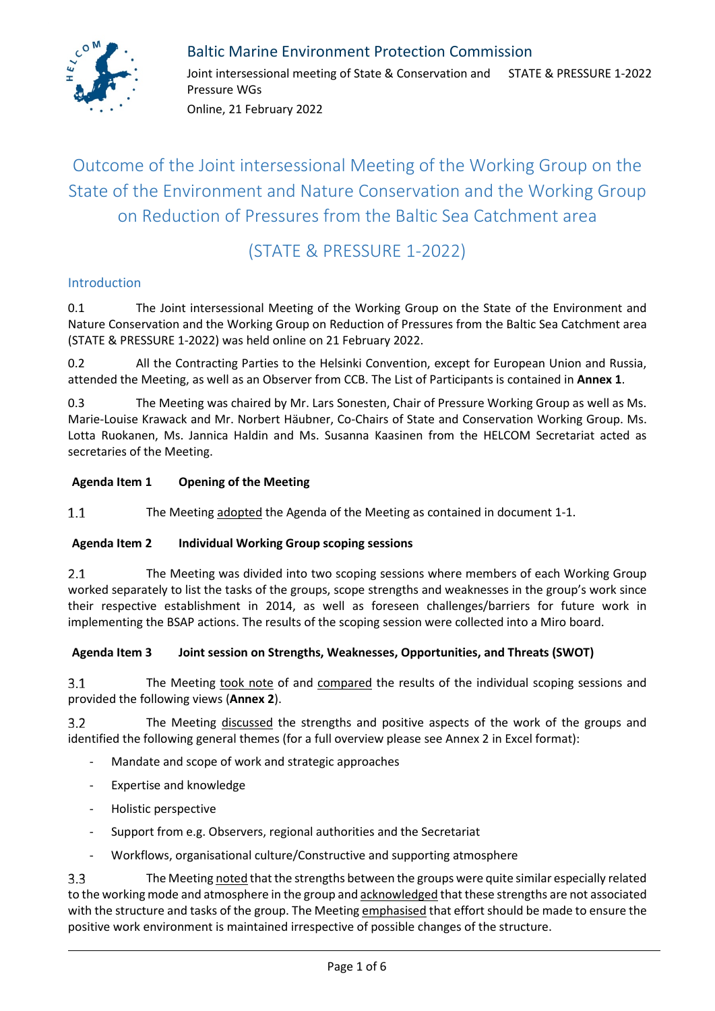

### Baltic Marine Environment Protection Commission

Joint intersessional meeting of State & Conservation and STATE & PRESSURE 1-2022 Pressure WGs

Online, 21 February 2022

## Outcome of the Joint intersessional Meeting of the Working Group on the State of the Environment and Nature Conservation and the Working Group on Reduction of Pressures from the Baltic Sea Catchment area

### (STATE & PRESSURE 1-2022)

#### Introduction

0.1 The Joint intersessional Meeting of the Working Group on the State of the Environment and Nature Conservation and the Working Group on Reduction of Pressures from the Baltic Sea Catchment area (STATE & PRESSURE 1-2022) was held online on 21 February 2022.

0.2 All the Contracting Parties to the Helsinki Convention, except for European Union and Russia, attended the Meeting, as well as an Observer from CCB. The List of Participants is contained in **Annex 1**.

0.3 The Meeting was chaired by Mr. Lars Sonesten, Chair of Pressure Working Group as well as Ms. Marie-Louise Krawack and Mr. Norbert Häubner, Co-Chairs of State and Conservation Working Group. Ms. Lotta Ruokanen, Ms. Jannica Haldin and Ms. Susanna Kaasinen from the HELCOM Secretariat acted as secretaries of the Meeting.

#### **Agenda Item 1 Opening of the Meeting**

 $1.1$ The Meeting adopted the Agenda of the Meeting as contained in document 1-1.

#### **Agenda Item 2 Individual Working Group scoping sessions**

 $2.1$ The Meeting was divided into two scoping sessions where members of each Working Group worked separately to list the tasks of the groups, scope strengths and weaknesses in the group's work since their respective establishment in 2014, as well as foreseen challenges/barriers for future work in implementing the BSAP actions. The results of the scoping session were collected into a Miro board.

#### **Agenda Item 3 Joint session on Strengths, Weaknesses, Opportunities, and Threats (SWOT)**

The Meeting took note of and compared the results of the individual scoping sessions and  $3.1$ provided the following views (**Annex 2**).

 $3.2$ The Meeting discussed the strengths and positive aspects of the work of the groups and identified the following general themes (for a full overview please see Annex 2 in Excel format):

- Mandate and scope of work and strategic approaches
- Expertise and knowledge
- Holistic perspective
- Support from e.g. Observers, regional authorities and the Secretariat
- Workflows, organisational culture/Constructive and supporting atmosphere

 $3.3$ The Meeting noted that the strengths between the groups were quite similar especially related to the working mode and atmosphere in the group and acknowledged that these strengths are not associated with the structure and tasks of the group. The Meeting emphasised that effort should be made to ensure the positive work environment is maintained irrespective of possible changes of the structure.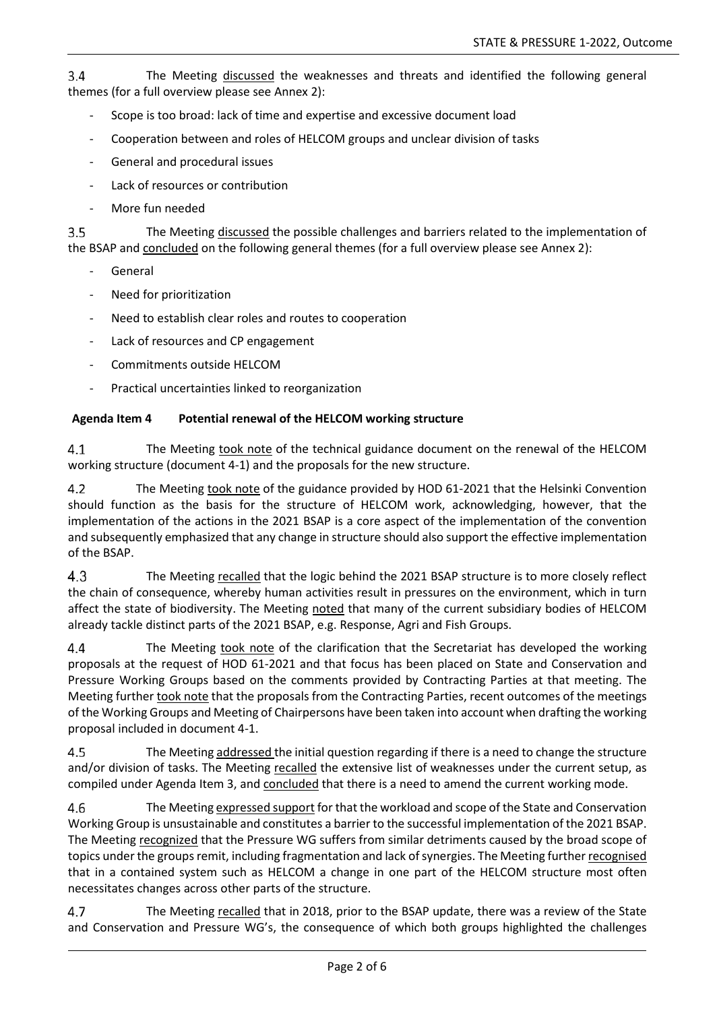$3.4$ The Meeting discussed the weaknesses and threats and identified the following general themes (for a full overview please see Annex 2):

- Scope is too broad: lack of time and expertise and excessive document load
- Cooperation between and roles of HELCOM groups and unclear division of tasks
- General and procedural issues
- Lack of resources or contribution
- More fun needed

 $3.5$ The Meeting discussed the possible challenges and barriers related to the implementation of the BSAP and concluded on the following general themes (for a full overview please see Annex 2):

- **General**
- Need for prioritization
- Need to establish clear roles and routes to cooperation
- Lack of resources and CP engagement
- Commitments outside HELCOM
- Practical uncertainties linked to reorganization

#### **Agenda Item 4 Potential renewal of the HELCOM working structure**

 $4.1$ The Meeting took note of the technical guidance document on the renewal of the HELCOM working structure (document 4-1) and the proposals for the new structure.

 $4.2$ The Meeting took note of the guidance provided by HOD 61-2021 that the Helsinki Convention should function as the basis for the structure of HELCOM work, acknowledging, however, that the implementation of the actions in the 2021 BSAP is a core aspect of the implementation of the convention and subsequently emphasized that any change in structure should also support the effective implementation of the BSAP.

4.3 The Meeting recalled that the logic behind the 2021 BSAP structure is to more closely reflect the chain of consequence, whereby human activities result in pressures on the environment, which in turn affect the state of biodiversity. The Meeting noted that many of the current subsidiary bodies of HELCOM already tackle distinct parts of the 2021 BSAP, e.g. Response, Agri and Fish Groups.

 $4.4$ The Meeting took note of the clarification that the Secretariat has developed the working proposals at the request of HOD 61-2021 and that focus has been placed on State and Conservation and Pressure Working Groups based on the comments provided by Contracting Parties at that meeting. The Meeting further took note that the proposals from the Contracting Parties, recent outcomes of the meetings of the Working Groups and Meeting of Chairpersons have been taken into account when drafting the working proposal included in document 4-1.

4.5 The Meeting addressed the initial question regarding if there is a need to change the structure and/or division of tasks. The Meeting recalled the extensive list of weaknesses under the current setup, as compiled under Agenda Item 3, and concluded that there is a need to amend the current working mode.

4.6 The Meeting expressed support for that the workload and scope of the State and Conservation Working Group is unsustainable and constitutes a barrier to the successful implementation of the 2021 BSAP. The Meeting recognized that the Pressure WG suffers from similar detriments caused by the broad scope of topics under the groups remit, including fragmentation and lack of synergies. The Meeting further recognised that in a contained system such as HELCOM a change in one part of the HELCOM structure most often necessitates changes across other parts of the structure.

4.7 The Meeting recalled that in 2018, prior to the BSAP update, there was a review of the State and Conservation and Pressure WG's, the consequence of which both groups highlighted the challenges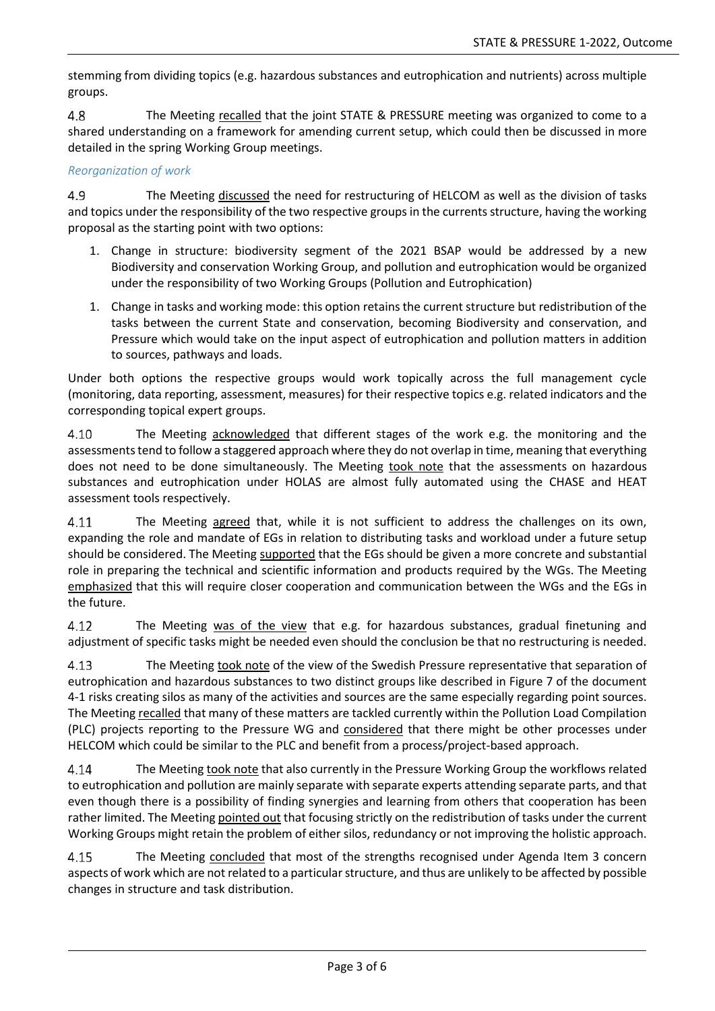stemming from dividing topics (e.g. hazardous substances and eutrophication and nutrients) across multiple groups.

4.8 The Meeting recalled that the joint STATE & PRESSURE meeting was organized to come to a shared understanding on a framework for amending current setup, which could then be discussed in more detailed in the spring Working Group meetings.

#### *Reorganization of work*

4.9 The Meeting discussed the need for restructuring of HELCOM as well as the division of tasks and topics under the responsibility of the two respective groups in the currents structure, having the working proposal as the starting point with two options:

- 1. Change in structure: biodiversity segment of the 2021 BSAP would be addressed by a new Biodiversity and conservation Working Group, and pollution and eutrophication would be organized under the responsibility of two Working Groups (Pollution and Eutrophication)
- 1. Change in tasks and working mode: this option retains the current structure but redistribution of the tasks between the current State and conservation, becoming Biodiversity and conservation, and Pressure which would take on the input aspect of eutrophication and pollution matters in addition to sources, pathways and loads.

Under both options the respective groups would work topically across the full management cycle (monitoring, data reporting, assessment, measures) for their respective topics e.g. related indicators and the corresponding topical expert groups.

4.10 The Meeting acknowledged that different stages of the work e.g. the monitoring and the assessments tend to follow a staggered approach where they do not overlap in time, meaning that everything does not need to be done simultaneously. The Meeting took note that the assessments on hazardous substances and eutrophication under HOLAS are almost fully automated using the CHASE and HEAT assessment tools respectively.

4.11 The Meeting agreed that, while it is not sufficient to address the challenges on its own, expanding the role and mandate of EGs in relation to distributing tasks and workload under a future setup should be considered. The Meeting supported that the EGs should be given a more concrete and substantial role in preparing the technical and scientific information and products required by the WGs. The Meeting emphasized that this will require closer cooperation and communication between the WGs and the EGs in the future.

4.12 The Meeting was of the view that e.g. for hazardous substances, gradual finetuning and adjustment of specific tasks might be needed even should the conclusion be that no restructuring is needed.

4.13 The Meeting took note of the view of the Swedish Pressure representative that separation of eutrophication and hazardous substances to two distinct groups like described in Figure 7 of the document 4-1 risks creating silos as many of the activities and sources are the same especially regarding point sources. The Meeting recalled that many of these matters are tackled currently within the Pollution Load Compilation (PLC) projects reporting to the Pressure WG and considered that there might be other processes under HELCOM which could be similar to the PLC and benefit from a process/project-based approach.

4.14 The Meeting took note that also currently in the Pressure Working Group the workflows related to eutrophication and pollution are mainly separate with separate experts attending separate parts, and that even though there is a possibility of finding synergies and learning from others that cooperation has been rather limited. The Meeting pointed out that focusing strictly on the redistribution of tasks under the current Working Groups might retain the problem of either silos, redundancy or not improving the holistic approach.

4.15 The Meeting concluded that most of the strengths recognised under Agenda Item 3 concern aspects of work which are not related to a particular structure, and thus are unlikely to be affected by possible changes in structure and task distribution.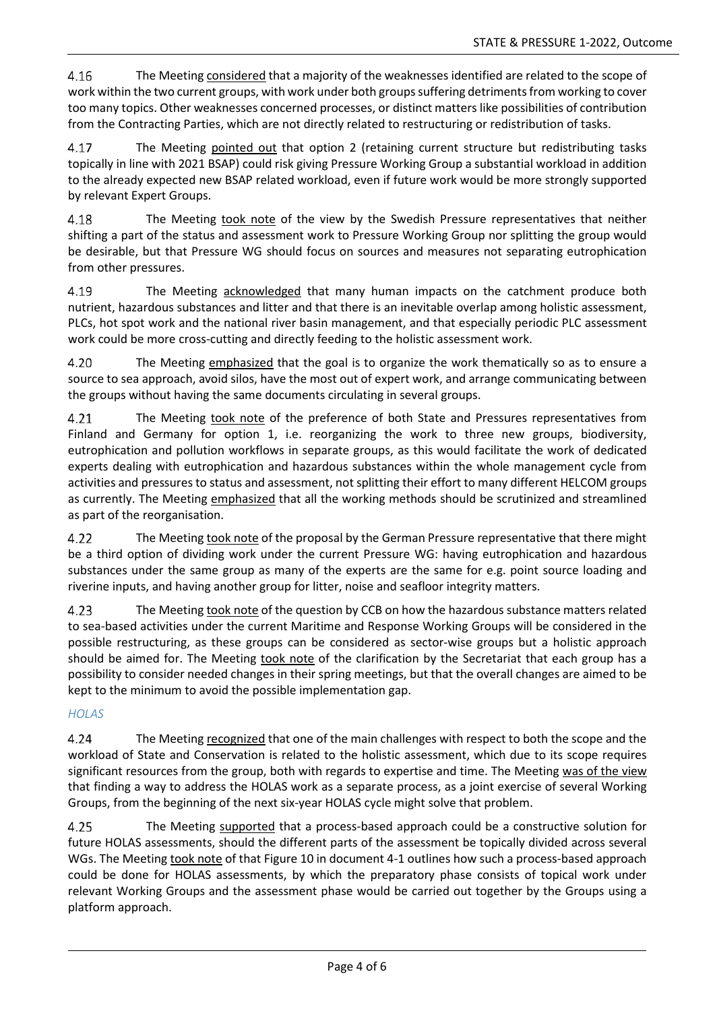4.16 The Meeting considered that a majority of the weaknesses identified are related to the scope of work within the two current groups, with work under both groups suffering detriments from working to cover too many topics. Other weaknesses concerned processes, or distinct matters like possibilities of contribution from the Contracting Parties, which are not directly related to restructuring or redistribution of tasks.

The Meeting pointed out that option 2 (retaining current structure but redistributing tasks 4.17 topically in line with 2021 BSAP) could risk giving Pressure Working Group a substantial workload in addition to the already expected new BSAP related workload, even if future work would be more strongly supported by relevant Expert Groups.

4.18 The Meeting took note of the view by the Swedish Pressure representatives that neither shifting a part of the status and assessment work to Pressure Working Group nor splitting the group would be desirable, but that Pressure WG should focus on sources and measures not separating eutrophication from other pressures.

4.19 The Meeting acknowledged that many human impacts on the catchment produce both nutrient, hazardous substances and litter and that there is an inevitable overlap among holistic assessment, PLCs, hot spot work and the national river basin management, and that especially periodic PLC assessment work could be more cross-cutting and directly feeding to the holistic assessment work.

4.20 The Meeting emphasized that the goal is to organize the work thematically so as to ensure a source to sea approach, avoid silos, have the most out of expert work, and arrange communicating between the groups without having the same documents circulating in several groups.

4.21 The Meeting took note of the preference of both State and Pressures representatives from Finland and Germany for option 1, i.e. reorganizing the work to three new groups, biodiversity, eutrophication and pollution workflows in separate groups, as this would facilitate the work of dedicated experts dealing with eutrophication and hazardous substances within the whole management cycle from activities and pressures to status and assessment, not splitting their effort to many different HELCOM groups as currently. The Meeting emphasized that all the working methods should be scrutinized and streamlined as part of the reorganisation.

4.22 The Meeting took note of the proposal by the German Pressure representative that there might be a third option of dividing work under the current Pressure WG: having eutrophication and hazardous substances under the same group as many of the experts are the same for e.g. point source loading and riverine inputs, and having another group for litter, noise and seafloor integrity matters.

4.23 The Meeting took note of the question by CCB on how the hazardous substance matters related to sea-based activities under the current Maritime and Response Working Groups will be considered in the possible restructuring, as these groups can be considered as sector-wise groups but a holistic approach should be aimed for. The Meeting took note of the clarification by the Secretariat that each group has a possibility to consider needed changes in their spring meetings, but that the overall changes are aimed to be kept to the minimum to avoid the possible implementation gap.

#### *HOLAS*

4.24 The Meeting recognized that one of the main challenges with respect to both the scope and the workload of State and Conservation is related to the holistic assessment, which due to its scope requires significant resources from the group, both with regards to expertise and time. The Meeting was of the view that finding a way to address the HOLAS work as a separate process, as a joint exercise of several Working Groups, from the beginning of the next six-year HOLAS cycle might solve that problem.

4.25 The Meeting supported that a process-based approach could be a constructive solution for future HOLAS assessments, should the different parts of the assessment be topically divided across several WGs. The Meeting took note of that Figure 10 in document 4-1 outlines how such a process-based approach could be done for HOLAS assessments, by which the preparatory phase consists of topical work under relevant Working Groups and the assessment phase would be carried out together by the Groups using a platform approach.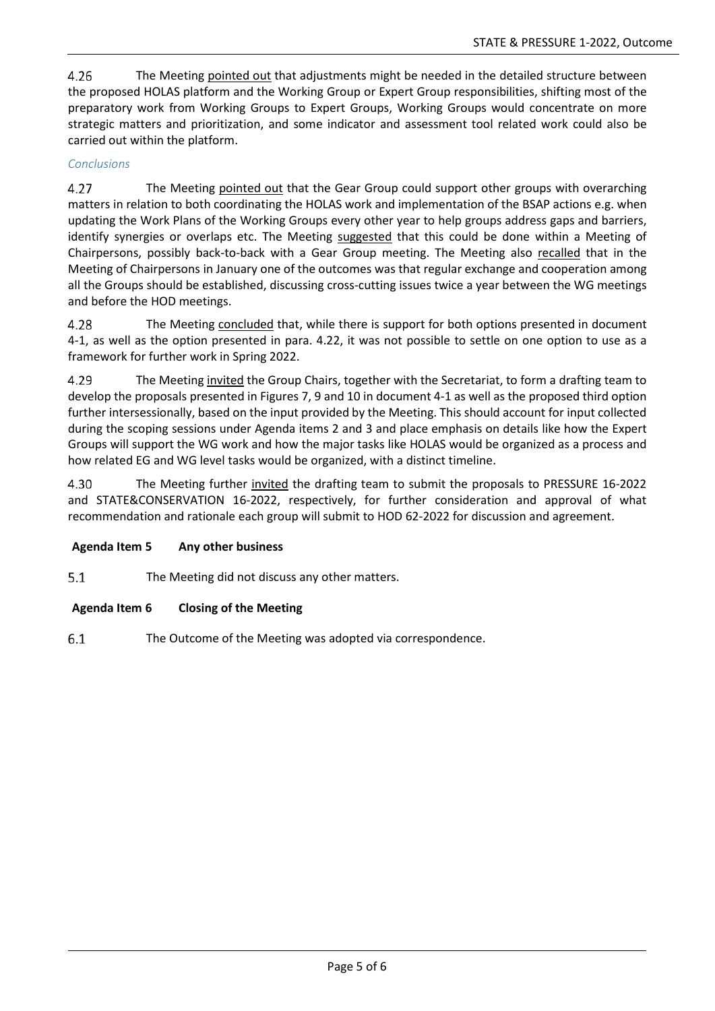4.26 The Meeting pointed out that adjustments might be needed in the detailed structure between the proposed HOLAS platform and the Working Group or Expert Group responsibilities, shifting most of the preparatory work from Working Groups to Expert Groups, Working Groups would concentrate on more strategic matters and prioritization, and some indicator and assessment tool related work could also be carried out within the platform.

#### *Conclusions*

4.27 The Meeting pointed out that the Gear Group could support other groups with overarching matters in relation to both coordinating the HOLAS work and implementation of the BSAP actions e.g. when updating the Work Plans of the Working Groups every other year to help groups address gaps and barriers, identify synergies or overlaps etc. The Meeting suggested that this could be done within a Meeting of Chairpersons, possibly back-to-back with a Gear Group meeting. The Meeting also recalled that in the Meeting of Chairpersons in January one of the outcomes was that regular exchange and cooperation among all the Groups should be established, discussing cross-cutting issues twice a year between the WG meetings and before the HOD meetings.

4.28 The Meeting concluded that, while there is support for both options presented in document 4-1, as well as the option presented in para. 4.22, it was not possible to settle on one option to use as a framework for further work in Spring 2022.

4.29 The Meeting invited the Group Chairs, together with the Secretariat, to form a drafting team to develop the proposals presented in Figures 7, 9 and 10 in document 4-1 as well as the proposed third option further intersessionally, based on the input provided by the Meeting. This should account for input collected during the scoping sessions under Agenda items 2 and 3 and place emphasis on details like how the Expert Groups will support the WG work and how the major tasks like HOLAS would be organized as a process and how related EG and WG level tasks would be organized, with a distinct timeline.

4.30 The Meeting further invited the drafting team to submit the proposals to PRESSURE 16-2022 and STATE&CONSERVATION 16-2022, respectively, for further consideration and approval of what recommendation and rationale each group will submit to HOD 62-2022 for discussion and agreement.

#### **Agenda Item 5 Any other business**

 $5.1$ The Meeting did not discuss any other matters.

#### **Agenda Item 6 Closing of the Meeting**

 $6.1$ The Outcome of the Meeting was adopted via correspondence.